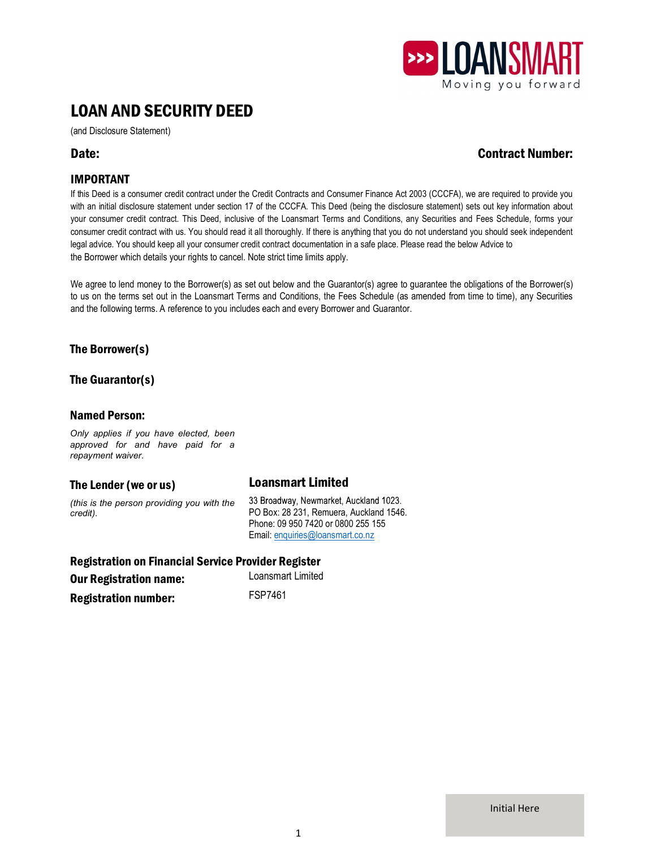

# LOAN AND SECURITY DEED

(and Disclosure Statement)

## Date: Contract Number:

## IMPORTANT

If this Deed is a consumer credit contract under the Credit Contracts and Consumer Finance Act 2003 (CCCFA), we are required to provide you with an initial disclosure statement under section 17 of the CCCFA. This Deed (being the disclosure statement) sets out key information about your consumer credit contract. This Deed, inclusive of the Loansmart Terms and Conditions, any Securities and Fees Schedule, forms your consumer credit contract with us. You should read it all thoroughly. If there is anything that you do not understand you should seek independent legal advice. You should keep all your consumer credit contract documentation in a safe place. Please read the below Advice to the Borrower which details your rights to cancel. Note strict time limits apply.

We agree to lend money to the Borrower(s) as set out below and the Guarantor(s) agree to guarantee the obligations of the Borrower(s) to us on the terms set out in the Loansmart Terms and Conditions, the Fees Schedule (as amended from time to time), any Securities and the following terms. A reference to you includes each and every Borrower and Guarantor.

## The Borrower(s)

The Guarantor(s)

## Named Person:

Only applies if you have elected, been approved for and have paid for a repayment waiver.

## The Lender (we or us) Loansmart Limited

(this is the person providing you with the credit). The credit of the contract of the PO Box: 28 231, Remuera, Auckland 1546.

33 Broadway, Newmarket, Auckland 1023. Phone: 09 950 7420 or 0800 255 155 Email: enquiries@loansmart.co.nz

Registration on Financial Service Provider Register **Our Registration name:** Loansmart Limited

Registration number: FSP7461

Initial Here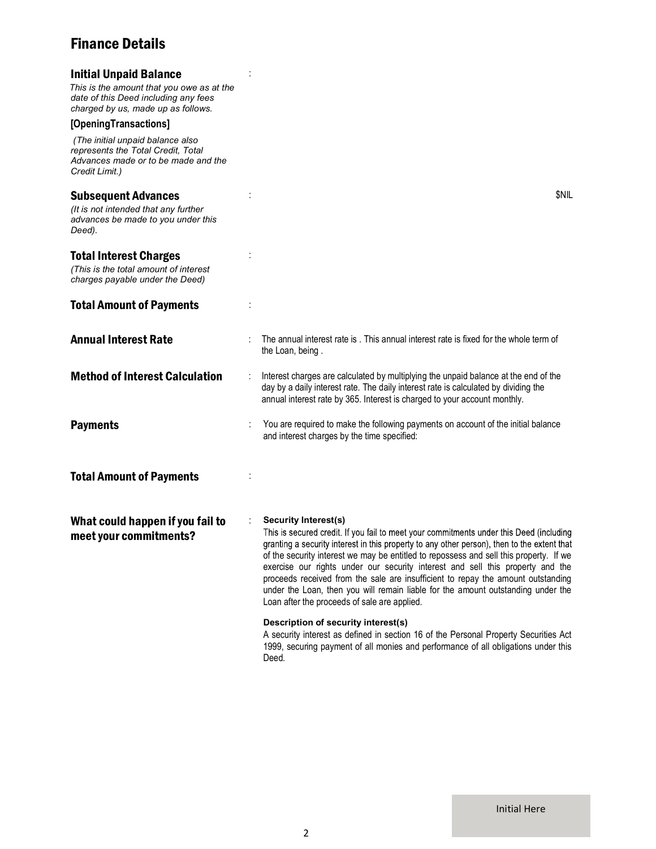## Finance Details

| <b>Initial Unpaid Balance</b><br>This is the amount that you owe as at the<br>date of this Deed including any fees<br>charged by us, made up as follows. |                                                                                                                                                                                                                                                                                                                                                                                                                                                                                                                                                                                                                    |
|----------------------------------------------------------------------------------------------------------------------------------------------------------|--------------------------------------------------------------------------------------------------------------------------------------------------------------------------------------------------------------------------------------------------------------------------------------------------------------------------------------------------------------------------------------------------------------------------------------------------------------------------------------------------------------------------------------------------------------------------------------------------------------------|
| [OpeningTransactions]<br>(The initial unpaid balance also<br>represents the Total Credit, Total<br>Advances made or to be made and the<br>Credit Limit.) |                                                                                                                                                                                                                                                                                                                                                                                                                                                                                                                                                                                                                    |
| <b>Subsequent Advances</b><br>(It is not intended that any further<br>advances be made to you under this<br>Deed).                                       | <b>SNIL</b>                                                                                                                                                                                                                                                                                                                                                                                                                                                                                                                                                                                                        |
| <b>Total Interest Charges</b><br>(This is the total amount of interest<br>charges payable under the Deed)                                                |                                                                                                                                                                                                                                                                                                                                                                                                                                                                                                                                                                                                                    |
| <b>Total Amount of Payments</b>                                                                                                                          |                                                                                                                                                                                                                                                                                                                                                                                                                                                                                                                                                                                                                    |
| <b>Annual Interest Rate</b>                                                                                                                              | The annual interest rate is . This annual interest rate is fixed for the whole term of<br>the Loan, being.                                                                                                                                                                                                                                                                                                                                                                                                                                                                                                         |
| <b>Method of Interest Calculation</b>                                                                                                                    | Interest charges are calculated by multiplying the unpaid balance at the end of the<br>day by a daily interest rate. The daily interest rate is calculated by dividing the<br>annual interest rate by 365. Interest is charged to your account monthly.                                                                                                                                                                                                                                                                                                                                                            |
| <b>Payments</b>                                                                                                                                          | You are required to make the following payments on account of the initial balance<br>and interest charges by the time specified:                                                                                                                                                                                                                                                                                                                                                                                                                                                                                   |
| <b>Total Amount of Payments</b>                                                                                                                          |                                                                                                                                                                                                                                                                                                                                                                                                                                                                                                                                                                                                                    |
| What could happen if you fail to<br>meet your commitments?                                                                                               | Security Interest(s)<br>This is secured credit. If you fail to meet your commitments under this Deed (including<br>granting a security interest in this property to any other person), then to the extent that<br>of the security interest we may be entitled to repossess and sell this property. If we<br>exercise our rights under our security interest and sell this property and the<br>proceeds received from the sale are insufficient to repay the amount outstanding<br>under the Loan, then you will remain liable for the amount outstanding under the<br>Loan after the proceeds of sale are applied. |
|                                                                                                                                                          | Description of security interest(s)<br>A security interest as defined in section 16 of the Personal Property Securities Act<br>1999, securing payment of all monies and performance of all obligations under this<br>Deed.                                                                                                                                                                                                                                                                                                                                                                                         |

Initial Here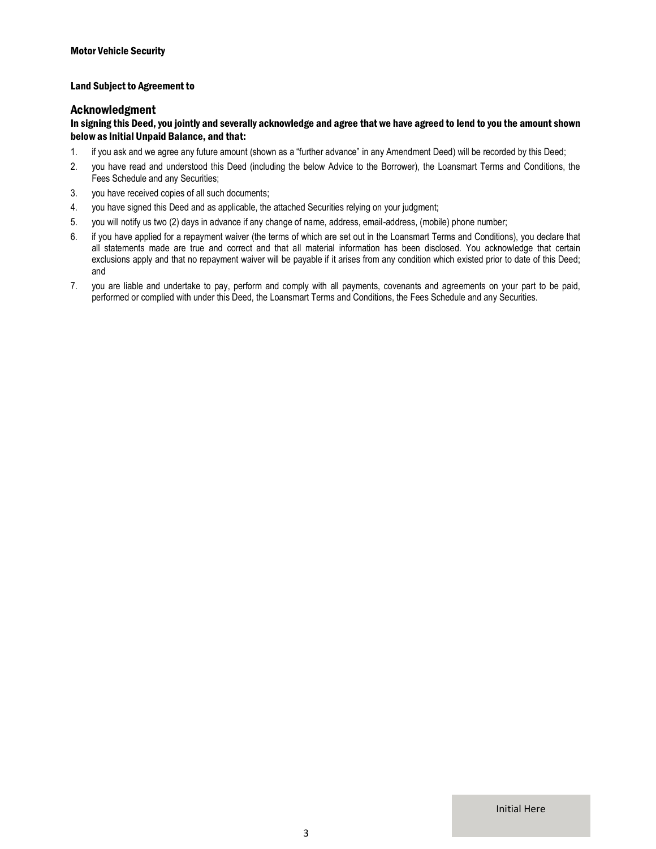#### Land Subject to Agreement to

#### Acknowledgment

#### In signing this Deed, you jointly and severally acknowledge and agree that we have agreed to lend to you the amount shown below as Initial Unpaid Balance, and that:

- 1. if you ask and we agree any future amount (shown as a "further advance" in any Amendment Deed) will be recorded by this Deed;
- 2. you have read and understood this Deed (including the below Advice to the Borrower), the Loansmart Terms and Conditions, the Fees Schedule and any Securities;
- 3. you have received copies of all such documents;
- 4. you have signed this Deed and as applicable, the attached Securities relying on your judgment;
- 5. you will notify us two (2) days in advance if any change of name, address, email-address, (mobile) phone number;
- 6. if you have applied for a repayment waiver (the terms of which are set out in the Loansmart Terms and Conditions), you declare that all statements made are true and correct and that all material information has been disclosed. You acknowledge that certain exclusions apply and that no repayment waiver will be payable if it arises from any condition which existed prior to date of this Deed; and
- 7. you are liable and undertake to pay, perform and comply with all payments, covenants and agreements on your part to be paid, performed or complied with under this Deed, the Loansmart Terms and Conditions, the Fees Schedule and any Securities.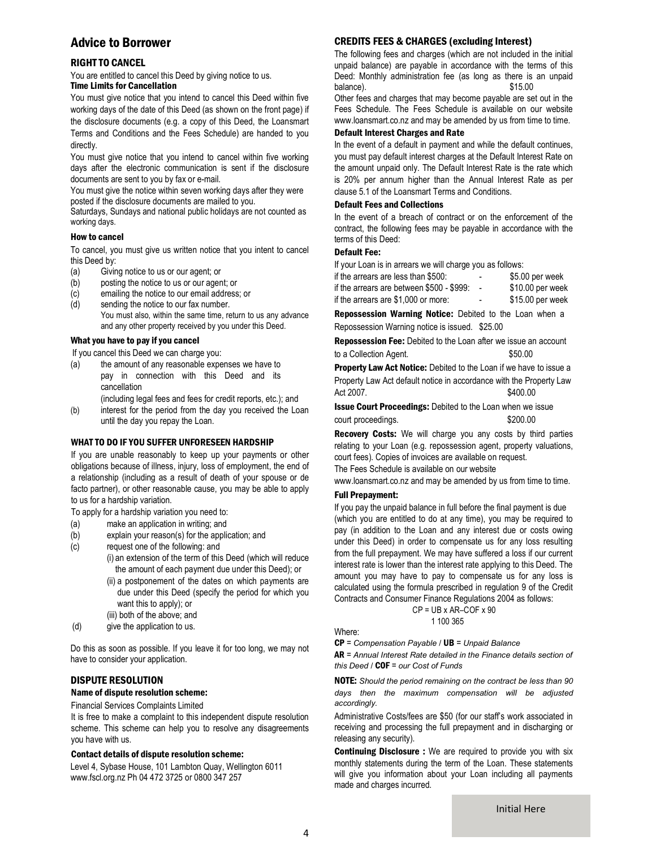## Advice to Borrower

### RIGHT TO CANCEL

You are entitled to cancel this Deed by giving notice to us. Time Limits for Cancellation

You must give notice that you intend to cancel this Deed within five working days of the date of this Deed (as shown on the front page) if the disclosure documents (e.g. a copy of this Deed, the Loansmart Terms and Conditions and the Fees Schedule) are handed to you directly.

You must give notice that you intend to cancel within five working days after the electronic communication is sent if the disclosure documents are sent to you by fax or e-mail.

You must give the notice within seven working days after they were posted if the disclosure documents are mailed to you.

Saturdays, Sundays and national public holidays are not counted as working days.

#### How to cancel

To cancel, you must give us written notice that you intent to cancel this Deed by:

- (a) Giving notice to us or our agent; or
- (b) posting the notice to us or our agent; or
- (c) emailing the notice to our email address; or
- (d) sending the notice to our fax number. You must also, within the same time, return to us any advance and any other property received by you under this Deed.

#### What you have to pay if you cancel

If you cancel this Deed we can charge you:

(a) the amount of any reasonable expenses we have to pay in connection with this Deed and its cancellation

(including legal fees and fees for credit reports, etc.); and

(b) interest for the period from the day you received the Loan until the day you repay the Loan.

#### WHAT TO DO IF YOU SUFFER UNFORESEEN HARDSHIP

If you are unable reasonably to keep up your payments or other obligations because of illness, injury, loss of employment, the end of a relationship (including as a result of death of your spouse or de facto partner), or other reasonable cause, you may be able to apply to us for a hardship variation.

To apply for a hardship variation you need to:

- (a) make an application in writing; and
- (b) explain your reason(s) for the application; and
- (c) request one of the following: and (i) an extension of the term of this Deed (which will reduce
	- the amount of each payment due under this Deed); or
		- (ii) a postponement of the dates on which payments are due under this Deed (specify the period for which you want this to apply); or (iii) both of the above; and
- (d) give the application to us.

Do this as soon as possible. If you leave it for too long, we may not have to consider your application.

#### DISPUTE RESOLUTION

#### Name of dispute resolution scheme:

#### Financial Services Complaints Limited

It is free to make a complaint to this independent dispute resolution scheme. This scheme can help you to resolve any disagreements you have with us.

#### Contact details of dispute resolution scheme:

Level 4, Sybase House, 101 Lambton Quay, Wellington 6011 www.fscl.org.nz Ph 04 472 3725 or 0800 347 257

### CREDITS FEES & CHARGES (excluding Interest)

The following fees and charges (which are not included in the initial unpaid balance) are payable in accordance with the terms of this Deed: Monthly administration fee (as long as there is an unpaid balance).  $$15.00$ 

Other fees and charges that may become payable are set out in the Fees Schedule. The Fees Schedule is available on our website www.loansmart.co.nz and may be amended by us from time to time.

#### Default Interest Charges and Rate

In the event of a default in payment and while the default continues, you must pay default interest charges at the Default Interest Rate on the amount unpaid only. The Default Interest Rate is the rate which is 20% per annum higher than the Annual Interest Rate as per clause 5.1 of the Loansmart Terms and Conditions.

#### Default Fees and Collections

In the event of a breach of contract or on the enforcement of the contract, the following fees may be payable in accordance with the terms of this Deed:

#### Default Fee:

If your Loan is in arrears we will charge you as follows:

| if the arrears are less than \$500:       | $\overline{\phantom{a}}$ | \$5.00 per week   |
|-------------------------------------------|--------------------------|-------------------|
| if the arrears are between \$500 - \$999: |                          | $$10.00$ per week |
| if the arrears are \$1,000 or more:       | $\overline{\phantom{0}}$ | \$15.00 per week  |

Repossession Warning Notice: Debited to the Loan when a Repossession Warning notice is issued. \$25.00

Repossession Fee: Debited to the Loan after we issue an account to a Collection Agent.  $$50.00$ 

**Property Law Act Notice:** Debited to the Loan if we have to issue a Property Law Act default notice in accordance with the Property Law Act 2007.

Issue Court Proceedings: Debited to the Loan when we issue court proceedings.  $$200.00$ 

Recovery Costs: We will charge you any costs by third parties relating to your Loan (e.g. repossession agent, property valuations, court fees). Copies of invoices are available on request.

The Fees Schedule is available on our website

www.loansmart.co.nz and may be amended by us from time to time.

#### Full Prepayment:

If you pay the unpaid balance in full before the final payment is due (which you are entitled to do at any time), you may be required to pay (in addition to the Loan and any interest due or costs owing under this Deed) in order to compensate us for any loss resulting from the full prepayment. We may have suffered a loss if our current interest rate is lower than the interest rate applying to this Deed. The amount you may have to pay to compensate us for any loss is calculated using the formula prescribed in regulation 9 of the Credit Contracts and Consumer Finance Regulations 2004 as follows:

$$
CP = UB \times AR-COF \times 90
$$
  
1 100 365

Where:

 $CP =$  Compensation Payable /  $UB =$  Unpaid Balance

AR = Annual Interest Rate detailed in the Finance details section of this Deed  $/$  COF = our Cost of Funds

NOTE: Should the period remaining on the contract be less than 90 days then the maximum compensation will be adjusted accordingly.

Administrative Costs/fees are \$50 (for our staff's work associated in receiving and processing the full prepayment and in discharging or releasing any security).

**Continuing Disclosure :** We are required to provide you with six monthly statements during the term of the Loan. These statements will give you information about your Loan including all payments made and charges incurred.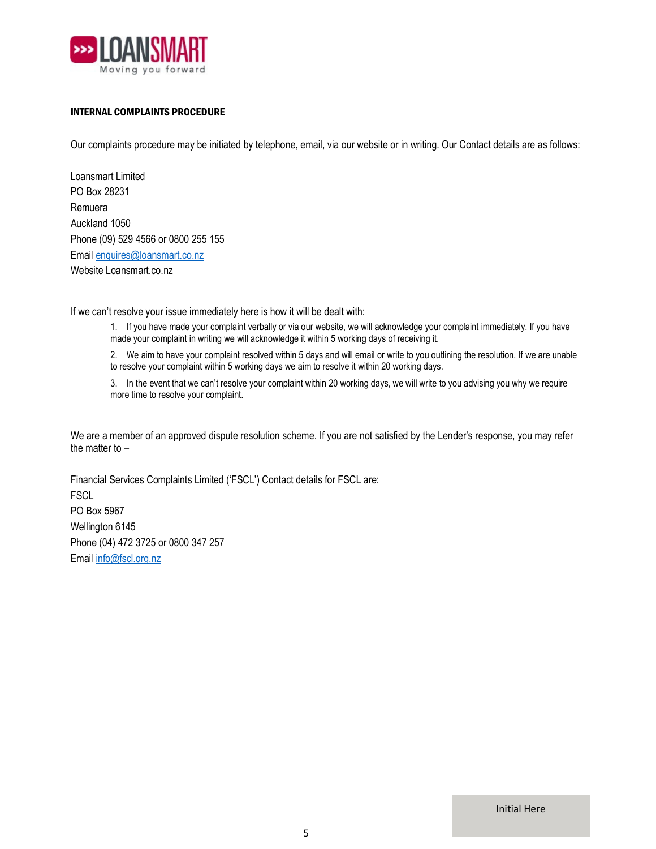

### INTERNAL COMPLAINTS PROCEDURE

Our complaints procedure may be initiated by telephone, email, via our website or in writing. Our Contact details are as follows:

Loansmart Limited PO Box 28231 Remuera Auckland 1050 Phone (09) 529 4566 or 0800 255 155 Email enquires@loansmart.co.nz Website Loansmart.co.nz

If we can't resolve your issue immediately here is how it will be dealt with:

1. If you have made your complaint verbally or via our website, we will acknowledge your complaint immediately. If you have made your complaint in writing we will acknowledge it within 5 working days of receiving it.

2. We aim to have your complaint resolved within 5 days and will email or write to you outlining the resolution. If we are unable to resolve your complaint within 5 working days we aim to resolve it within 20 working days.

3. In the event that we can't resolve your complaint within 20 working days, we will write to you advising you why we require more time to resolve your complaint.

We are a member of an approved dispute resolution scheme. If you are not satisfied by the Lender's response, you may refer the matter to –

Financial Services Complaints Limited ('FSCL') Contact details for FSCL are: **FSCL** PO Box 5967 Wellington 6145 Phone (04) 472 3725 or 0800 347 257 Email info@fscl.org.nz

Initial Here